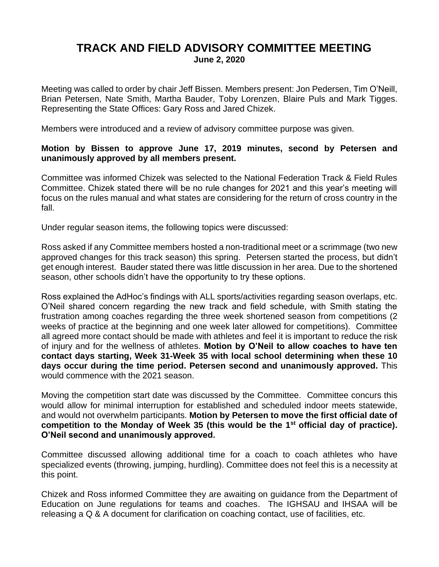## **TRACK AND FIELD ADVISORY COMMITTEE MEETING June 2, 2020**

Meeting was called to order by chair Jeff Bissen. Members present: Jon Pedersen, Tim O'Neill, Brian Petersen, Nate Smith, Martha Bauder, Toby Lorenzen, Blaire Puls and Mark Tigges. Representing the State Offices: Gary Ross and Jared Chizek.

Members were introduced and a review of advisory committee purpose was given.

## **Motion by Bissen to approve June 17, 2019 minutes, second by Petersen and unanimously approved by all members present.**

Committee was informed Chizek was selected to the National Federation Track & Field Rules Committee. Chizek stated there will be no rule changes for 2021 and this year's meeting will focus on the rules manual and what states are considering for the return of cross country in the fall.

Under regular season items, the following topics were discussed:

Ross asked if any Committee members hosted a non-traditional meet or a scrimmage (two new approved changes for this track season) this spring. Petersen started the process, but didn't get enough interest. Bauder stated there was little discussion in her area. Due to the shortened season, other schools didn't have the opportunity to try these options.

Ross explained the AdHoc's findings with ALL sports/activities regarding season overlaps, etc. O'Neil shared concern regarding the new track and field schedule, with Smith stating the frustration among coaches regarding the three week shortened season from competitions (2 weeks of practice at the beginning and one week later allowed for competitions). Committee all agreed more contact should be made with athletes and feel it is important to reduce the risk of injury and for the wellness of athletes. **Motion by O'Neil to allow coaches to have ten contact days starting, Week 31-Week 35 with local school determining when these 10 days occur during the time period. Petersen second and unanimously approved.** This would commence with the 2021 season.

Moving the competition start date was discussed by the Committee. Committee concurs this would allow for minimal interruption for established and scheduled indoor meets statewide, and would not overwhelm participants. **Motion by Petersen to move the first official date of competition to the Monday of Week 35 (this would be the 1st official day of practice). O'Neil second and unanimously approved.**

Committee discussed allowing additional time for a coach to coach athletes who have specialized events (throwing, jumping, hurdling). Committee does not feel this is a necessity at this point.

Chizek and Ross informed Committee they are awaiting on guidance from the Department of Education on June regulations for teams and coaches. The IGHSAU and IHSAA will be releasing a Q & A document for clarification on coaching contact, use of facilities, etc.